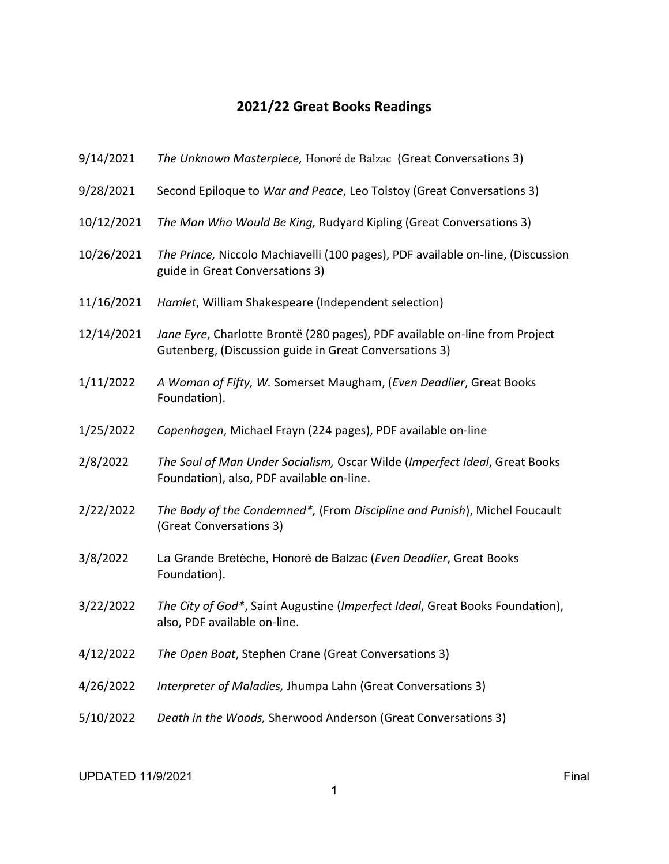## 2021/22 Great Books Readings

| 9/14/2021  | The Unknown Masterpiece, Honoré de Balzac (Great Conversations 3)                                                                     |
|------------|---------------------------------------------------------------------------------------------------------------------------------------|
| 9/28/2021  | Second Epiloque to War and Peace, Leo Tolstoy (Great Conversations 3)                                                                 |
| 10/12/2021 | The Man Who Would Be King, Rudyard Kipling (Great Conversations 3)                                                                    |
| 10/26/2021 | The Prince, Niccolo Machiavelli (100 pages), PDF available on-line, (Discussion<br>guide in Great Conversations 3)                    |
| 11/16/2021 | Hamlet, William Shakespeare (Independent selection)                                                                                   |
| 12/14/2021 | Jane Eyre, Charlotte Brontë (280 pages), PDF available on-line from Project<br>Gutenberg, (Discussion guide in Great Conversations 3) |
| 1/11/2022  | A Woman of Fifty, W. Somerset Maugham, (Even Deadlier, Great Books<br>Foundation).                                                    |
| 1/25/2022  | Copenhagen, Michael Frayn (224 pages), PDF available on-line                                                                          |
| 2/8/2022   | The Soul of Man Under Socialism, Oscar Wilde (Imperfect Ideal, Great Books<br>Foundation), also, PDF available on-line.               |
| 2/22/2022  | The Body of the Condemned*, (From Discipline and Punish), Michel Foucault<br>(Great Conversations 3)                                  |
| 3/8/2022   | La Grande Bretèche, Honoré de Balzac (Even Deadlier, Great Books<br>Foundation).                                                      |
| 3/22/2022  | The City of God*, Saint Augustine (Imperfect Ideal, Great Books Foundation),<br>also, PDF available on-line.                          |
| 4/12/2022  | The Open Boat, Stephen Crane (Great Conversations 3)                                                                                  |
| 4/26/2022  | Interpreter of Maladies, Jhumpa Lahn (Great Conversations 3)                                                                          |
| 5/10/2022  | Death in the Woods, Sherwood Anderson (Great Conversations 3)                                                                         |